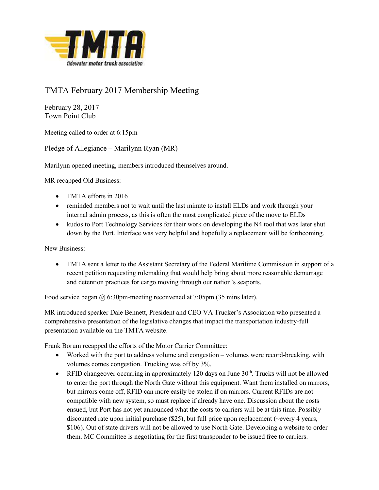

## TMTA February 2017 Membership Meeting

February 28, 2017 Town Point Club

Meeting called to order at 6:15pm

Pledge of Allegiance – Marilynn Ryan (MR)

Marilynn opened meeting, members introduced themselves around.

MR recapped Old Business:

- TMTA efforts in 2016
- reminded members not to wait until the last minute to install ELDs and work through your internal admin process, as this is often the most complicated piece of the move to ELDs
- kudos to Port Technology Services for their work on developing the N4 tool that was later shut down by the Port. Interface was very helpful and hopefully a replacement will be forthcoming.

New Business:

 TMTA sent a letter to the Assistant Secretary of the Federal Maritime Commission in support of a recent petition requesting rulemaking that would help bring about more reasonable demurrage and detention practices for cargo moving through our nation's seaports.

Food service began @ 6:30pm-meeting reconvened at 7:05pm (35 mins later).

MR introduced speaker Dale Bennett, President and CEO VA Trucker's Association who presented a comprehensive presentation of the legislative changes that impact the transportation industry-full presentation available on the TMTA website.

Frank Borum recapped the efforts of the Motor Carrier Committee:

- Worked with the port to address volume and congestion volumes were record-breaking, with volumes comes congestion. Trucking was off by 3%.
- **•** RFID changeover occurring in approximately 120 days on June  $30<sup>th</sup>$ . Trucks will not be allowed to enter the port through the North Gate without this equipment. Want them installed on mirrors, but mirrors come off, RFID can more easily be stolen if on mirrors. Current RFIDs are not compatible with new system, so must replace if already have one. Discussion about the costs ensued, but Port has not yet announced what the costs to carriers will be at this time. Possibly discounted rate upon initial purchase (\$25), but full price upon replacement (~every 4 years, \$106). Out of state drivers will not be allowed to use North Gate. Developing a website to order them. MC Committee is negotiating for the first transponder to be issued free to carriers.